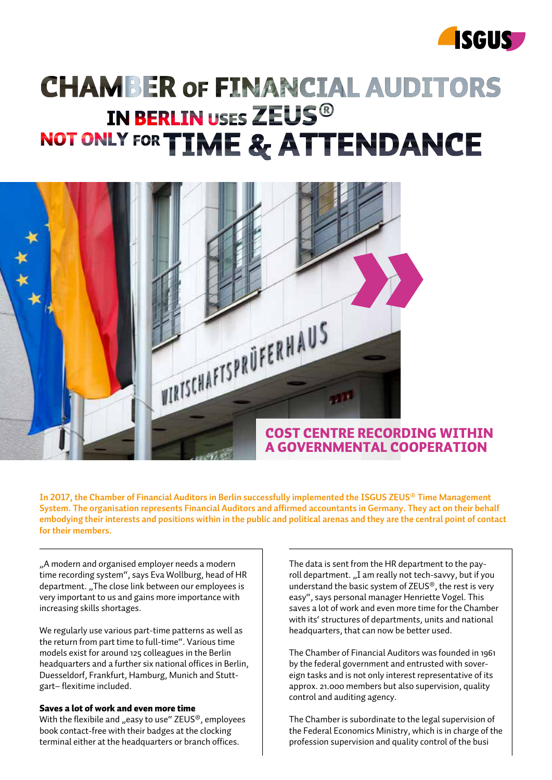

## **CHAMBER OF FINANCIAL AUDITORS IN BERLIN USES ZEUS<sup>®</sup>** NOT ONLY FOR TIME & ATTENDANCE



**In 2017, the Chamber of Financial Auditors in Berlin successfully implemented the ISGUS ZEUS® Time Management System. The organisation represents Financial Auditors and affirmed accountants in Germany. They act on their behalf embodying their interests and positions within in the public and political arenas and they are the central point of contact for their members.** 

...A modern and organised emplover needs a modern time recording system", says Eva Wollburg, head of HR department. "The close link between our employees is very important to us and gains more importance with increasing skills shortages.

We regularly use various part-time patterns as well as the return from part time to full-time". Various time models exist for around 125 colleagues in the Berlin headquarters and a further six national offices in Berlin, Duesseldorf, Frankfurt, Hamburg, Munich and Stuttgart– flexitime included.

## Saves a lot of work and even more time

With the flexibile and "easy to use"  $ZEUS^{\circledcirc}$ , employees book contact-free with their badges at the clocking terminal either at the headquarters or branch offices.

The data is sent from the HR department to the payroll department. "I am really not tech-savvy, but if you understand the basic system of ZEUS®, the rest is very easy", says personal manager Henriette Vogel. This saves a lot of work and even more time for the Chamber with its' structures of departments, units and national headquarters, that can now be better used.

The Chamber of Financial Auditors was founded in 1961 by the federal government and entrusted with sovereign tasks and is not only interest representative of its approx. 21.000 members but also supervision, quality control and auditing agency.

The Chamber is subordinate to the legal supervision of the Federal Economics Ministry, which is in charge of the profession supervision and quality control of the busi